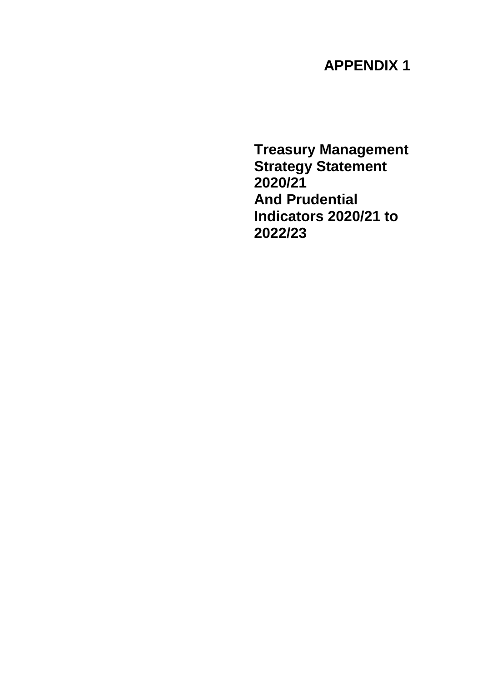# **APPENDIX 1**

**Treasury Management Strategy Statement 2020/21 And Prudential Indicators 2020/21 to 2022/23**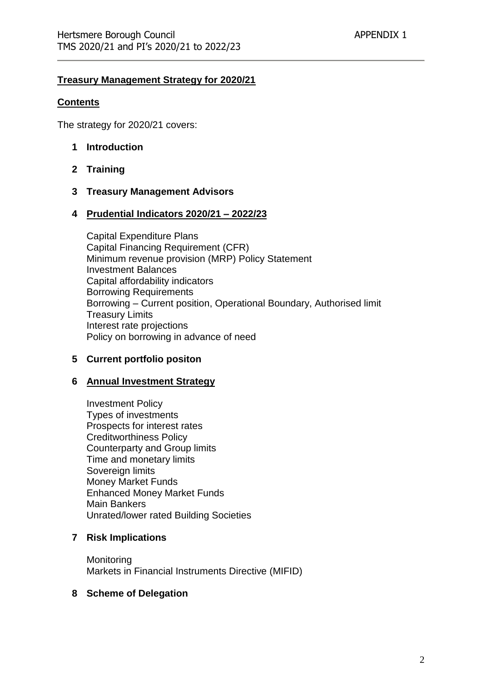#### **Treasury Management Strategy for 2020/21**

#### **Contents**

The strategy for 2020/21 covers:

- **1 Introduction**
- **2 Training**
- **3 Treasury Management Advisors**

#### **4 Prudential Indicators 2020/21 – 2022/23**

Capital Expenditure Plans Capital Financing Requirement (CFR) Minimum revenue provision (MRP) Policy Statement Investment Balances Capital affordability indicators Borrowing Requirements Borrowing – Current position, Operational Boundary, Authorised limit Treasury Limits Interest rate projections Policy on borrowing in advance of need

#### **5 Current portfolio positon**

#### **6 Annual Investment Strategy**

Investment Policy Types of investments Prospects for interest rates Creditworthiness Policy Counterparty and Group limits Time and monetary limits Sovereign limits Money Market Funds Enhanced Money Market Funds Main Bankers Unrated/lower rated Building Societies

#### **7 Risk Implications**

**Monitoring** Markets in Financial Instruments Directive (MIFID)

#### **8 Scheme of Delegation**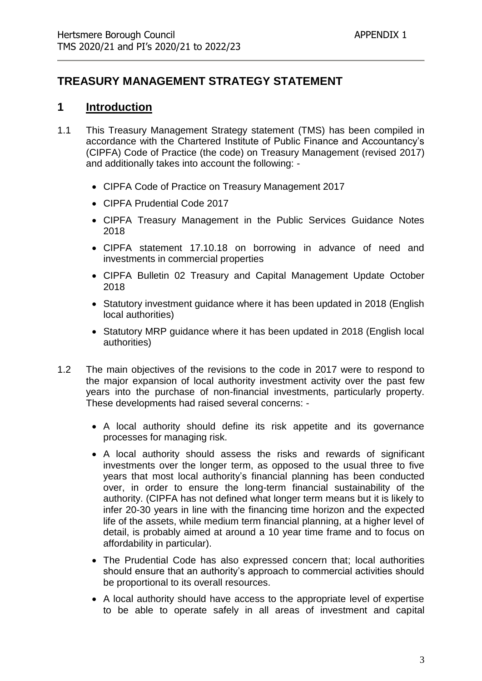## **TREASURY MANAGEMENT STRATEGY STATEMENT**

## **1 Introduction**

- 1.1 This Treasury Management Strategy statement (TMS) has been compiled in accordance with the Chartered Institute of Public Finance and Accountancy's (CIPFA) Code of Practice (the code) on Treasury Management (revised 2017) and additionally takes into account the following: -
	- CIPFA Code of Practice on Treasury Management 2017
	- CIPFA Prudential Code 2017
	- CIPFA Treasury Management in the Public Services Guidance Notes 2018
	- CIPFA statement 17.10.18 on borrowing in advance of need and investments in commercial properties
	- CIPFA Bulletin 02 Treasury and Capital Management Update October 2018
	- Statutory investment guidance where it has been updated in 2018 (English local authorities)
	- Statutory MRP guidance where it has been updated in 2018 (English local authorities)
- 1.2 The main objectives of the revisions to the code in 2017 were to respond to the major expansion of local authority investment activity over the past few years into the purchase of non-financial investments, particularly property. These developments had raised several concerns: -
	- A local authority should define its risk appetite and its governance processes for managing risk.
	- A local authority should assess the risks and rewards of significant investments over the longer term, as opposed to the usual three to five years that most local authority's financial planning has been conducted over, in order to ensure the long-term financial sustainability of the authority. (CIPFA has not defined what longer term means but it is likely to infer 20-30 years in line with the financing time horizon and the expected life of the assets, while medium term financial planning, at a higher level of detail, is probably aimed at around a 10 year time frame and to focus on affordability in particular).
	- The Prudential Code has also expressed concern that; local authorities should ensure that an authority's approach to commercial activities should be proportional to its overall resources.
	- A local authority should have access to the appropriate level of expertise to be able to operate safely in all areas of investment and capital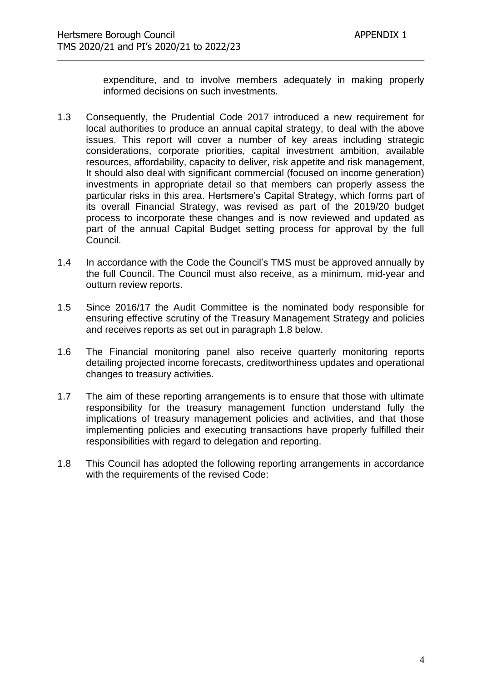expenditure, and to involve members adequately in making properly informed decisions on such investments.

- 1.3 Consequently, the Prudential Code 2017 introduced a new requirement for local authorities to produce an annual capital strategy, to deal with the above issues. This report will cover a number of key areas including strategic considerations, corporate priorities, capital investment ambition, available resources, affordability, capacity to deliver, risk appetite and risk management, It should also deal with significant commercial (focused on income generation) investments in appropriate detail so that members can properly assess the particular risks in this area. Hertsmere's Capital Strategy, which forms part of its overall Financial Strategy, was revised as part of the 2019/20 budget process to incorporate these changes and is now reviewed and updated as part of the annual Capital Budget setting process for approval by the full Council.
- 1.4 In accordance with the Code the Council's TMS must be approved annually by the full Council. The Council must also receive, as a minimum, mid-year and outturn review reports.
- 1.5 Since 2016/17 the Audit Committee is the nominated body responsible for ensuring effective scrutiny of the Treasury Management Strategy and policies and receives reports as set out in paragraph 1.8 below.
- 1.6 The Financial monitoring panel also receive quarterly monitoring reports detailing projected income forecasts, creditworthiness updates and operational changes to treasury activities.
- 1.7 The aim of these reporting arrangements is to ensure that those with ultimate responsibility for the treasury management function understand fully the implications of treasury management policies and activities, and that those implementing policies and executing transactions have properly fulfilled their responsibilities with regard to delegation and reporting.
- 1.8 This Council has adopted the following reporting arrangements in accordance with the requirements of the revised Code: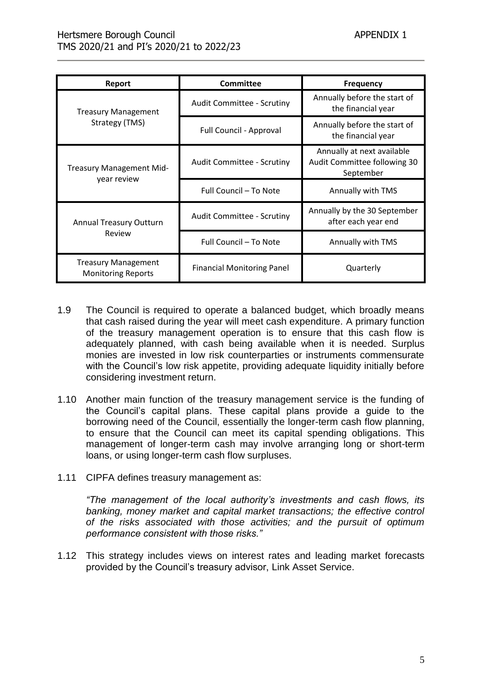| Report                                                  | Committee                         | <b>Frequency</b>                                                        |
|---------------------------------------------------------|-----------------------------------|-------------------------------------------------------------------------|
| <b>Treasury Management</b>                              | Audit Committee - Scrutiny        | Annually before the start of<br>the financial year                      |
| Strategy (TMS)                                          | Full Council - Approval           | Annually before the start of<br>the financial year                      |
| <b>Treasury Management Mid-</b>                         | <b>Audit Committee - Scrutiny</b> | Annually at next available<br>Audit Committee following 30<br>September |
| year review                                             | Full Council - To Note            | Annually with TMS                                                       |
| <b>Annual Treasury Outturn</b>                          | <b>Audit Committee - Scrutiny</b> | Annually by the 30 September<br>after each year end                     |
| Review                                                  | Full Council - To Note            | Annually with TMS                                                       |
| <b>Treasury Management</b><br><b>Monitoring Reports</b> | <b>Financial Monitoring Panel</b> | Quarterly                                                               |

- 1.9 The Council is required to operate a balanced budget, which broadly means that cash raised during the year will meet cash expenditure. A primary function of the treasury management operation is to ensure that this cash flow is adequately planned, with cash being available when it is needed. Surplus monies are invested in low risk counterparties or instruments commensurate with the Council's low risk appetite, providing adequate liquidity initially before considering investment return.
- 1.10 Another main function of the treasury management service is the funding of the Council's capital plans. These capital plans provide a guide to the borrowing need of the Council, essentially the longer-term cash flow planning, to ensure that the Council can meet its capital spending obligations. This management of longer-term cash may involve arranging long or short-term loans, or using longer-term cash flow surpluses.
- 1.11 CIPFA defines treasury management as:

*"The management of the local authority's investments and cash flows, its banking, money market and capital market transactions; the effective control of the risks associated with those activities; and the pursuit of optimum performance consistent with those risks."*

1.12 This strategy includes views on interest rates and leading market forecasts provided by the Council's treasury advisor, Link Asset Service.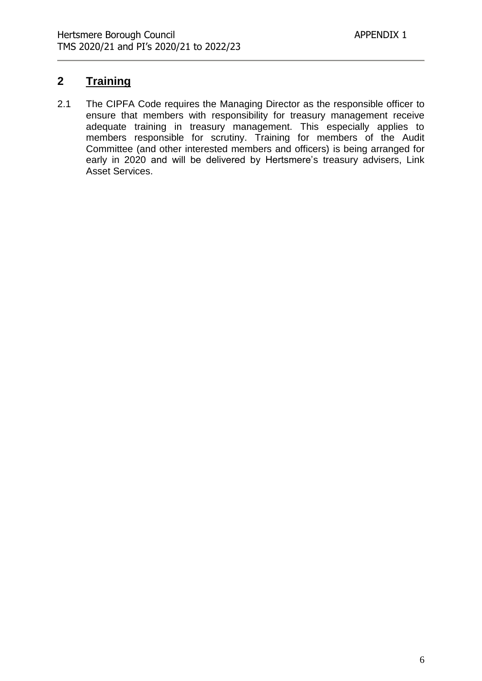## **2 Training**

2.1 The CIPFA Code requires the Managing Director as the responsible officer to ensure that members with responsibility for treasury management receive adequate training in treasury management. This especially applies to members responsible for scrutiny. Training for members of the Audit Committee (and other interested members and officers) is being arranged for early in 2020 and will be delivered by Hertsmere's treasury advisers, Link Asset Services.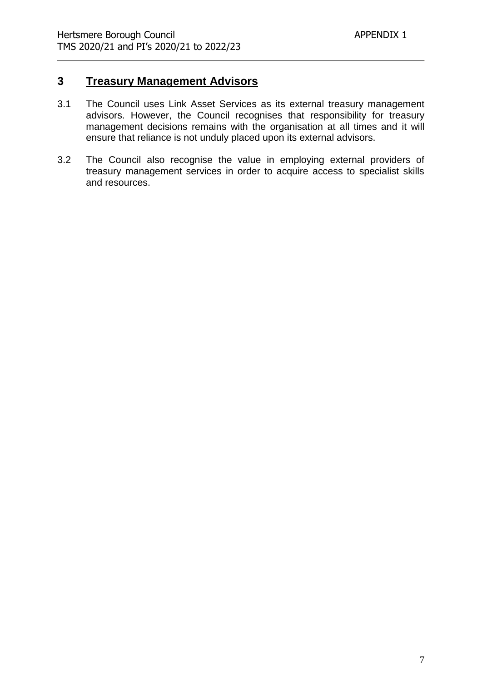## **3 Treasury Management Advisors**

- 3.1 The Council uses Link Asset Services as its external treasury management advisors. However, the Council recognises that responsibility for treasury management decisions remains with the organisation at all times and it will ensure that reliance is not unduly placed upon its external advisors.
- 3.2 The Council also recognise the value in employing external providers of treasury management services in order to acquire access to specialist skills and resources.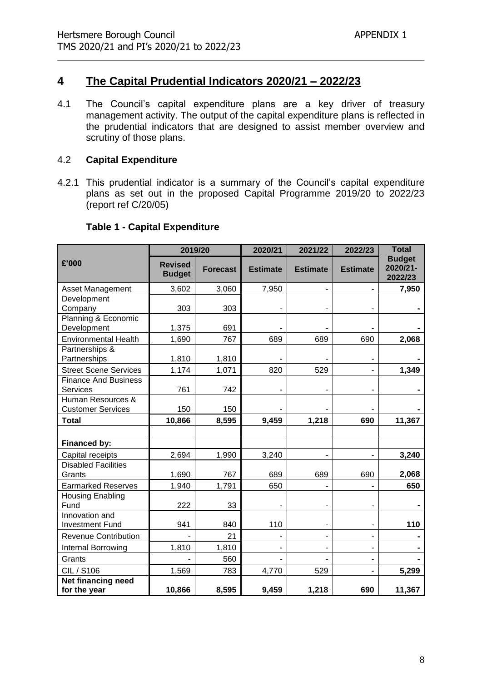## **4 The Capital Prudential Indicators 2020/21 – 2022/23**

4.1 The Council's capital expenditure plans are a key driver of treasury management activity. The output of the capital expenditure plans is reflected in the prudential indicators that are designed to assist member overview and scrutiny of those plans.

#### 4.2 **Capital Expenditure**

4.2.1 This prudential indicator is a summary of the Council's capital expenditure plans as set out in the proposed Capital Programme 2019/20 to 2022/23 (report ref C/20/05)

| <b>Table 1 - Capital Expenditure</b> |  |
|--------------------------------------|--|
|--------------------------------------|--|

|                                               | 2019/20                         |                 | 2020/21         | 2021/22         | 2022/23                      | <b>Total</b>                         |
|-----------------------------------------------|---------------------------------|-----------------|-----------------|-----------------|------------------------------|--------------------------------------|
| £'000                                         | <b>Revised</b><br><b>Budget</b> | <b>Forecast</b> | <b>Estimate</b> | <b>Estimate</b> | <b>Estimate</b>              | <b>Budget</b><br>2020/21-<br>2022/23 |
| <b>Asset Management</b>                       | 3,602                           | 3,060           | 7,950           |                 | $\overline{\phantom{m}}$     | 7,950                                |
| Development                                   |                                 |                 |                 |                 |                              |                                      |
| Company                                       | 303                             | 303             |                 |                 |                              |                                      |
| Planning & Economic<br>Development            | 1,375                           | 691             |                 |                 |                              |                                      |
| <b>Environmental Health</b>                   | 1,690                           | 767             | 689             | 689             | 690                          | 2,068                                |
| Partnerships &<br>Partnerships                | 1,810                           | 1,810           |                 |                 | -                            |                                      |
| <b>Street Scene Services</b>                  | 1,174                           | 1,071           | 820             | 529             |                              | 1,349                                |
| <b>Finance And Business</b><br>Services       | 761                             | 742             |                 |                 |                              |                                      |
| Human Resources &<br><b>Customer Services</b> | 150                             | 150             |                 |                 |                              |                                      |
| <b>Total</b>                                  | 10,866                          | 8,595           | 9,459           | 1,218           | 690                          | 11,367                               |
|                                               |                                 |                 |                 |                 |                              |                                      |
| Financed by:                                  |                                 |                 |                 |                 |                              |                                      |
| Capital receipts                              | 2,694                           | 1,990           | 3,240           |                 |                              | 3,240                                |
| <b>Disabled Facilities</b><br>Grants          | 1,690                           | 767             | 689             | 689             | 690                          | 2,068                                |
| <b>Earmarked Reserves</b>                     | 1,940                           | 1,791           | 650             |                 |                              | 650                                  |
| <b>Housing Enabling</b><br>Fund               | 222                             | 33              |                 |                 | ۰                            |                                      |
| Innovation and<br><b>Investment Fund</b>      | 941                             | 840             | 110             |                 | ۰                            | 110                                  |
| <b>Revenue Contribution</b>                   |                                 | 21              |                 |                 | $\blacksquare$               |                                      |
| Internal Borrowing                            | 1,810                           | 1,810           |                 |                 | $\qquad \qquad \blacksquare$ |                                      |
| Grants                                        |                                 | 560             |                 |                 | ۰                            |                                      |
| CIL / S106                                    | 1,569                           | 783             | 4,770           | 529             | ٠                            | 5,299                                |
| Net financing need<br>for the year            | 10,866                          | 8,595           | 9,459           | 1,218           | 690                          | 11,367                               |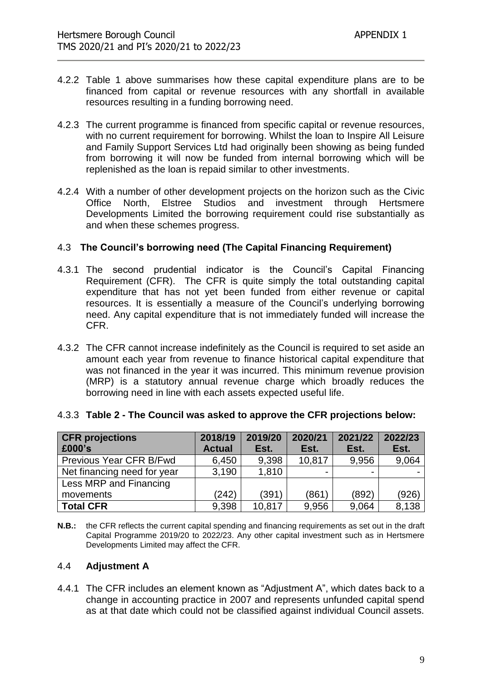- 4.2.2 Table 1 above summarises how these capital expenditure plans are to be financed from capital or revenue resources with any shortfall in available resources resulting in a funding borrowing need.
- 4.2.3 The current programme is financed from specific capital or revenue resources, with no current requirement for borrowing. Whilst the loan to Inspire All Leisure and Family Support Services Ltd had originally been showing as being funded from borrowing it will now be funded from internal borrowing which will be replenished as the loan is repaid similar to other investments.
- 4.2.4 With a number of other development projects on the horizon such as the Civic Office North, Elstree Studios and investment through Hertsmere Developments Limited the borrowing requirement could rise substantially as and when these schemes progress.

#### 4.3 **The Council's borrowing need (The Capital Financing Requirement)**

- 4.3.1 The second prudential indicator is the Council's Capital Financing Requirement (CFR). The CFR is quite simply the total outstanding capital expenditure that has not yet been funded from either revenue or capital resources. It is essentially a measure of the Council's underlying borrowing need. Any capital expenditure that is not immediately funded will increase the CFR.
- 4.3.2 The CFR cannot increase indefinitely as the Council is required to set aside an amount each year from revenue to finance historical capital expenditure that was not financed in the year it was incurred. This minimum revenue provision (MRP) is a statutory annual revenue charge which broadly reduces the borrowing need in line with each assets expected useful life.

| <b>CFR</b> projections<br>£000's | 2018/19<br><b>Actual</b> | 2019/20<br>Est. | 2020/21<br>Est. | 2021/22<br>Est. | 2022/23<br>Est. |
|----------------------------------|--------------------------|-----------------|-----------------|-----------------|-----------------|
| Previous Year CFR B/Fwd          | 6,450                    | 9,398           | 10,817          | 9,956           | 9,064           |
| Net financing need for year      | 3,190                    | 1,810           |                 |                 |                 |
| Less MRP and Financing           |                          |                 |                 |                 |                 |
| movements                        | (242)                    | (391)           | (861)           | (892)           | (926)           |
| <b>Total CFR</b>                 | 9,398                    | 10,817          | 9,956           | 9,064           | 8,138           |

#### 4.3.3 **Table 2 - The Council was asked to approve the CFR projections below:**

**N.B.:** the CFR reflects the current capital spending and financing requirements as set out in the draft Capital Programme 2019/20 to 2022/23. Any other capital investment such as in Hertsmere Developments Limited may affect the CFR.

#### 4.4 **Adjustment A**

4.4.1 The CFR includes an element known as "Adjustment A", which dates back to a change in accounting practice in 2007 and represents unfunded capital spend as at that date which could not be classified against individual Council assets.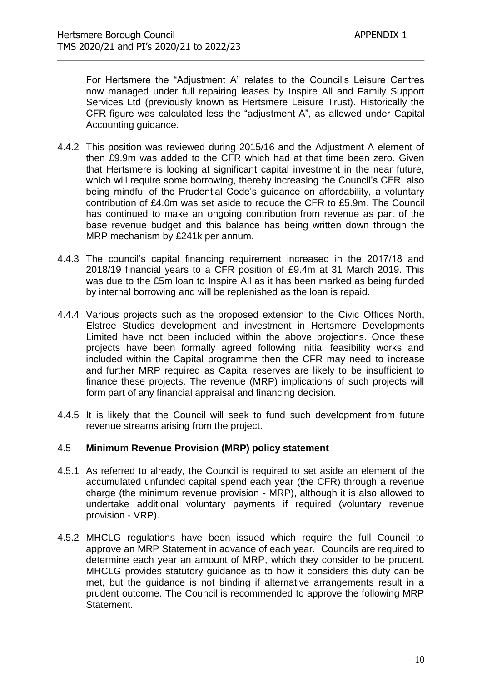For Hertsmere the "Adjustment A" relates to the Council's Leisure Centres now managed under full repairing leases by Inspire All and Family Support Services Ltd (previously known as Hertsmere Leisure Trust). Historically the CFR figure was calculated less the "adjustment A", as allowed under Capital Accounting guidance.

- 4.4.2 This position was reviewed during 2015/16 and the Adjustment A element of then £9.9m was added to the CFR which had at that time been zero. Given that Hertsmere is looking at significant capital investment in the near future, which will require some borrowing, thereby increasing the Council's CFR, also being mindful of the Prudential Code's guidance on affordability, a voluntary contribution of £4.0m was set aside to reduce the CFR to £5.9m. The Council has continued to make an ongoing contribution from revenue as part of the base revenue budget and this balance has being written down through the MRP mechanism by £241k per annum.
- 4.4.3 The council's capital financing requirement increased in the 2017/18 and 2018/19 financial years to a CFR position of £9.4m at 31 March 2019. This was due to the £5m loan to Inspire All as it has been marked as being funded by internal borrowing and will be replenished as the loan is repaid.
- 4.4.4 Various projects such as the proposed extension to the Civic Offices North, Elstree Studios development and investment in Hertsmere Developments Limited have not been included within the above projections. Once these projects have been formally agreed following initial feasibility works and included within the Capital programme then the CFR may need to increase and further MRP required as Capital reserves are likely to be insufficient to finance these projects. The revenue (MRP) implications of such projects will form part of any financial appraisal and financing decision.
- 4.4.5 It is likely that the Council will seek to fund such development from future revenue streams arising from the project.

#### 4.5 **Minimum Revenue Provision (MRP) policy statement**

- 4.5.1 As referred to already, the Council is required to set aside an element of the accumulated unfunded capital spend each year (the CFR) through a revenue charge (the minimum revenue provision - MRP), although it is also allowed to undertake additional voluntary payments if required (voluntary revenue provision - VRP).
- 4.5.2 MHCLG regulations have been issued which require the full Council to approve an MRP Statement in advance of each year. Councils are required to determine each year an amount of MRP, which they consider to be prudent. MHCLG provides statutory guidance as to how it considers this duty can be met, but the guidance is not binding if alternative arrangements result in a prudent outcome. The Council is recommended to approve the following MRP Statement.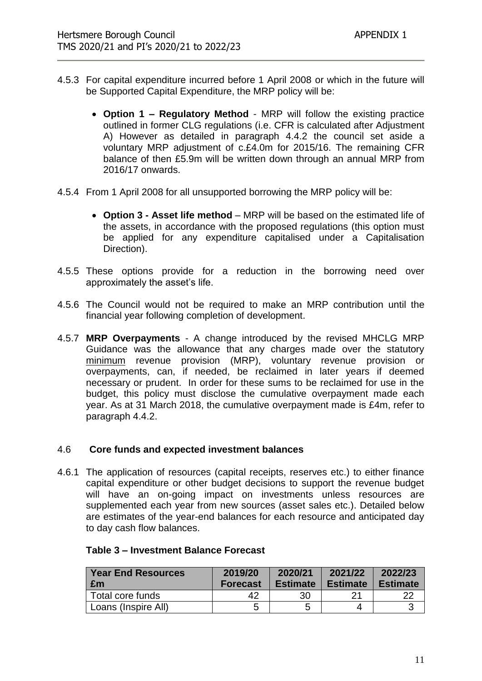- 4.5.3 For capital expenditure incurred before 1 April 2008 or which in the future will be Supported Capital Expenditure, the MRP policy will be:
	- **Option 1 – Regulatory Method** MRP will follow the existing practice outlined in former CLG regulations (i.e. CFR is calculated after Adjustment A) However as detailed in paragraph 4.4.2 the council set aside a voluntary MRP adjustment of c.£4.0m for 2015/16. The remaining CFR balance of then £5.9m will be written down through an annual MRP from 2016/17 onwards.
- 4.5.4 From 1 April 2008 for all unsupported borrowing the MRP policy will be:
	- **Option 3 - Asset life method** MRP will be based on the estimated life of the assets, in accordance with the proposed regulations (this option must be applied for any expenditure capitalised under a Capitalisation Direction).
- 4.5.5 These options provide for a reduction in the borrowing need over approximately the asset's life.
- 4.5.6 The Council would not be required to make an MRP contribution until the financial year following completion of development.
- 4.5.7 **MRP Overpayments** A change introduced by the revised MHCLG MRP Guidance was the allowance that any charges made over the statutory minimum revenue provision (MRP), voluntary revenue provision or overpayments, can, if needed, be reclaimed in later years if deemed necessary or prudent. In order for these sums to be reclaimed for use in the budget, this policy must disclose the cumulative overpayment made each year. As at 31 March 2018, the cumulative overpayment made is £4m, refer to paragraph 4.4.2.

#### 4.6 **Core funds and expected investment balances**

4.6.1 The application of resources (capital receipts, reserves etc.) to either finance capital expenditure or other budget decisions to support the revenue budget will have an on-going impact on investments unless resources are supplemented each year from new sources (asset sales etc.). Detailed below are estimates of the year-end balances for each resource and anticipated day to day cash flow balances.

| <b>Year End Resources</b><br>£m | 2019/20<br><b>Forecast</b> | 2020/21<br><b>Estimate</b> | 2021/22<br><b>Estimate</b> | 2022/23<br><b>Estimate</b> |
|---------------------------------|----------------------------|----------------------------|----------------------------|----------------------------|
| Total core funds                | 42                         | 30                         |                            |                            |
| Loans (Inspire All)             |                            |                            |                            |                            |

#### **Table 3 – Investment Balance Forecast**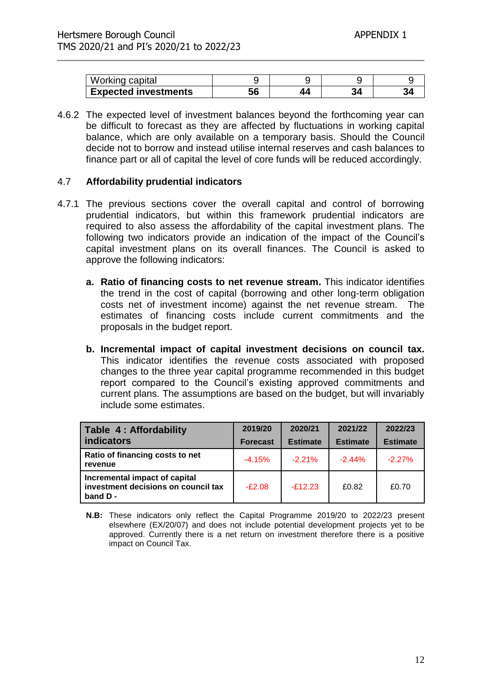| Working capital             |    |  |         |
|-----------------------------|----|--|---------|
| <b>Expected investments</b> | 56 |  | $\cdot$ |

4.6.2 The expected level of investment balances beyond the forthcoming year can be difficult to forecast as they are affected by fluctuations in working capital balance, which are only available on a temporary basis. Should the Council decide not to borrow and instead utilise internal reserves and cash balances to finance part or all of capital the level of core funds will be reduced accordingly.

#### 4.7 **Affordability prudential indicators**

- 4.7.1 The previous sections cover the overall capital and control of borrowing prudential indicators, but within this framework prudential indicators are required to also assess the affordability of the capital investment plans. The following two indicators provide an indication of the impact of the Council's capital investment plans on its overall finances. The Council is asked to approve the following indicators:
	- **a. Ratio of financing costs to net revenue stream.** This indicator identifies the trend in the cost of capital (borrowing and other long-term obligation costs net of investment income) against the net revenue stream. The estimates of financing costs include current commitments and the proposals in the budget report.
	- **b. Incremental impact of capital investment decisions on council tax.** This indicator identifies the revenue costs associated with proposed changes to the three year capital programme recommended in this budget report compared to the Council's existing approved commitments and current plans. The assumptions are based on the budget, but will invariably include some estimates.

| Table 4: Affordability                                                          | 2019/20         | 2020/21         | 2021/22         | 2022/23         |
|---------------------------------------------------------------------------------|-----------------|-----------------|-----------------|-----------------|
| <b>indicators</b>                                                               | <b>Forecast</b> | <b>Estimate</b> | <b>Estimate</b> | <b>Estimate</b> |
| Ratio of financing costs to net<br>revenue                                      | $-4.15%$        | $-2.21%$        | $-2.44%$        | $-2.27%$        |
| Incremental impact of capital<br>investment decisions on council tax<br>band D- | $-E2.08$        | $-f12.23$       | £0.82           | £0.70           |

**N.B:** These indicators only reflect the Capital Programme 2019/20 to 2022/23 present elsewhere (EX/20/07) and does not include potential development projects yet to be approved. Currently there is a net return on investment therefore there is a positive impact on Council Tax.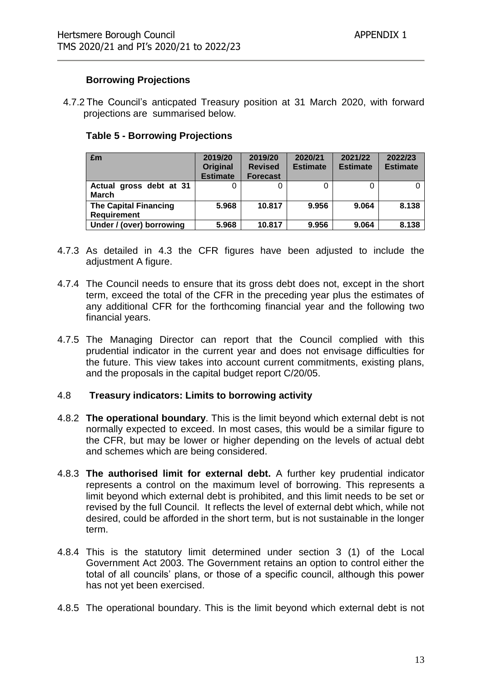#### **Borrowing Projections**

4.7.2 The Council's anticpated Treasury position at 31 March 2020, with forward projections are summarised below.

#### **Table 5 - Borrowing Projections**

| £m                                                 | 2019/20<br><b>Original</b><br><b>Estimate</b> | 2019/20<br><b>Revised</b><br><b>Forecast</b> | 2020/21<br><b>Estimate</b> | 2021/22<br><b>Estimate</b> | 2022/23<br><b>Estimate</b> |
|----------------------------------------------------|-----------------------------------------------|----------------------------------------------|----------------------------|----------------------------|----------------------------|
| Actual gross debt at 31<br><b>March</b>            |                                               |                                              |                            |                            |                            |
| <b>The Capital Financing</b><br><b>Requirement</b> | 5.968                                         | 10.817                                       | 9.956                      | 9.064                      | 8.138                      |
| Under / (over) borrowing                           | 5.968                                         | 10.817                                       | 9.956                      | 9.064                      | 8.138                      |

- 4.7.3 As detailed in 4.3 the CFR figures have been adjusted to include the adjustment A figure.
- 4.7.4 The Council needs to ensure that its gross debt does not, except in the short term, exceed the total of the CFR in the preceding year plus the estimates of any additional CFR for the forthcoming financial year and the following two financial years.
- 4.7.5 The Managing Director can report that the Council complied with this prudential indicator in the current year and does not envisage difficulties for the future. This view takes into account current commitments, existing plans, and the proposals in the capital budget report C/20/05.

#### 4.8 **Treasury indicators: Limits to borrowing activity**

- 4.8.2 **The operational boundary**. This is the limit beyond which external debt is not normally expected to exceed. In most cases, this would be a similar figure to the CFR, but may be lower or higher depending on the levels of actual debt and schemes which are being considered.
- 4.8.3 **The authorised limit for external debt.** A further key prudential indicator represents a control on the maximum level of borrowing. This represents a limit beyond which external debt is prohibited, and this limit needs to be set or revised by the full Council. It reflects the level of external debt which, while not desired, could be afforded in the short term, but is not sustainable in the longer term.
- 4.8.4 This is the statutory limit determined under section 3 (1) of the Local Government Act 2003. The Government retains an option to control either the total of all councils' plans, or those of a specific council, although this power has not yet been exercised.
- 4.8.5 The operational boundary. This is the limit beyond which external debt is not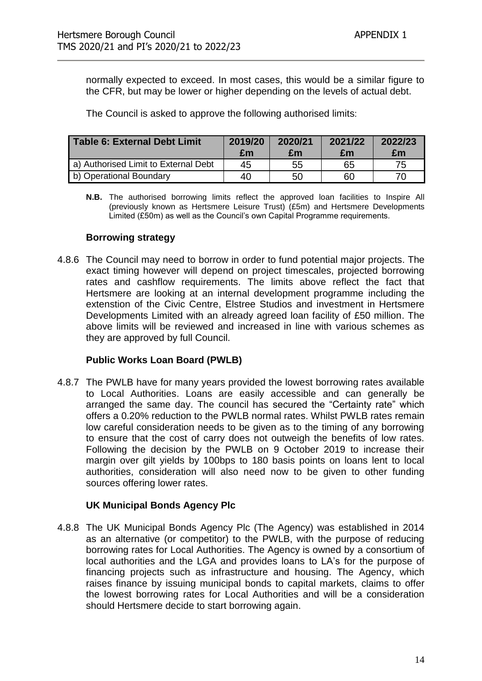normally expected to exceed. In most cases, this would be a similar figure to the CFR, but may be lower or higher depending on the levels of actual debt.

The Council is asked to approve the following authorised limits:

| <b>Table 6: External Debt Limit</b>  | 2019/20<br>£m | 2020/21<br>£m | 2021/22<br>£m | 2022/23<br>£m |
|--------------------------------------|---------------|---------------|---------------|---------------|
| a) Authorised Limit to External Debt | 45            | 55            | 65            | 75            |
| b) Operational Boundary              | 40            | 50            | 60            | 70            |

**N.B.** The authorised borrowing limits reflect the approved loan facilities to Inspire All (previously known as Hertsmere Leisure Trust) (£5m) and Hertsmere Developments Limited (£50m) as well as the Council's own Capital Programme requirements.

#### **Borrowing strategy**

4.8.6 The Council may need to borrow in order to fund potential major projects. The exact timing however will depend on project timescales, projected borrowing rates and cashflow requirements. The limits above reflect the fact that Hertsmere are looking at an internal development programme including the extenstion of the Civic Centre, Elstree Studios and investment in Hertsmere Developments Limited with an already agreed loan facility of £50 million. The above limits will be reviewed and increased in line with various schemes as they are approved by full Council.

#### **Public Works Loan Board (PWLB)**

4.8.7 The PWLB have for many years provided the lowest borrowing rates available to Local Authorities. Loans are easily accessible and can generally be arranged the same day. The council has secured the "Certainty rate" which offers a 0.20% reduction to the PWLB normal rates. Whilst PWLB rates remain low careful consideration needs to be given as to the timing of any borrowing to ensure that the cost of carry does not outweigh the benefits of low rates. Following the decision by the PWLB on 9 October 2019 to increase their margin over gilt yields by 100bps to 180 basis points on loans lent to local authorities, consideration will also need now to be given to other funding sources offering lower rates.

#### **UK Municipal Bonds Agency Plc**

4.8.8 The UK Municipal Bonds Agency Plc (The Agency) was established in 2014 as an alternative (or competitor) to the PWLB, with the purpose of reducing borrowing rates for Local Authorities. The Agency is owned by a consortium of local authorities and the LGA and provides loans to LA's for the purpose of financing projects such as infrastructure and housing. The Agency, which raises finance by issuing municipal bonds to capital markets, claims to offer the lowest borrowing rates for Local Authorities and will be a consideration should Hertsmere decide to start borrowing again.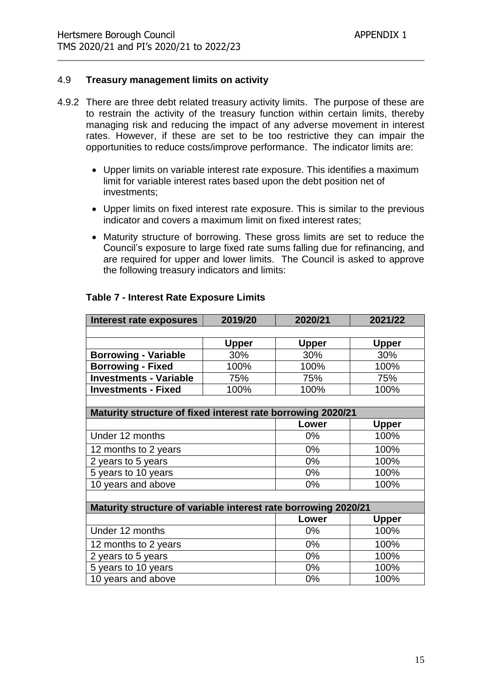#### 4.9 **Treasury management limits on activity**

- 4.9.2 There are three debt related treasury activity limits. The purpose of these are to restrain the activity of the treasury function within certain limits, thereby managing risk and reducing the impact of any adverse movement in interest rates. However, if these are set to be too restrictive they can impair the opportunities to reduce costs/improve performance. The indicator limits are:
	- Upper limits on variable interest rate exposure. This identifies a maximum limit for variable interest rates based upon the debt position net of investments;
	- Upper limits on fixed interest rate exposure. This is similar to the previous indicator and covers a maximum limit on fixed interest rates;
	- Maturity structure of borrowing. These gross limits are set to reduce the Council's exposure to large fixed rate sums falling due for refinancing, and are required for upper and lower limits. The Council is asked to approve the following treasury indicators and limits:

| <b>Interest rate exposures</b>                                 | 2019/20      | 2020/21      | 2021/22      |
|----------------------------------------------------------------|--------------|--------------|--------------|
|                                                                |              |              |              |
|                                                                | <b>Upper</b> | <b>Upper</b> | <b>Upper</b> |
| <b>Borrowing - Variable</b>                                    | 30%          | 30%          | 30%          |
| <b>Borrowing - Fixed</b>                                       | 100%         | 100%         | 100%         |
| <b>Investments - Variable</b>                                  | 75%          | 75%          | 75%          |
| <b>Investments - Fixed</b>                                     | 100%         | 100%         | 100%         |
|                                                                |              |              |              |
| Maturity structure of fixed interest rate borrowing 2020/21    |              |              |              |
|                                                                |              | Lower        | <b>Upper</b> |
| Under 12 months                                                |              | 0%           | 100%         |
| 12 months to 2 years                                           |              | $0\%$        | 100%         |
| 2 years to 5 years                                             |              | $0\%$        | 100%         |
| 5 years to 10 years                                            |              | $0\%$        | 100%         |
| 10 years and above                                             |              | 0%           | 100%         |
|                                                                |              |              |              |
| Maturity structure of variable interest rate borrowing 2020/21 |              |              |              |
|                                                                |              | Lower        | <b>Upper</b> |
| Under 12 months                                                |              | $0\%$        | 100%         |
| 12 months to 2 years                                           |              | $0\%$        | 100%         |
| 2 years to 5 years                                             |              | $0\%$        | 100%         |
| 5 years to 10 years                                            |              | 0%           | 100%         |
| 10 years and above                                             |              | 0%           | 100%         |

#### **Table 7 - Interest Rate Exposure Limits**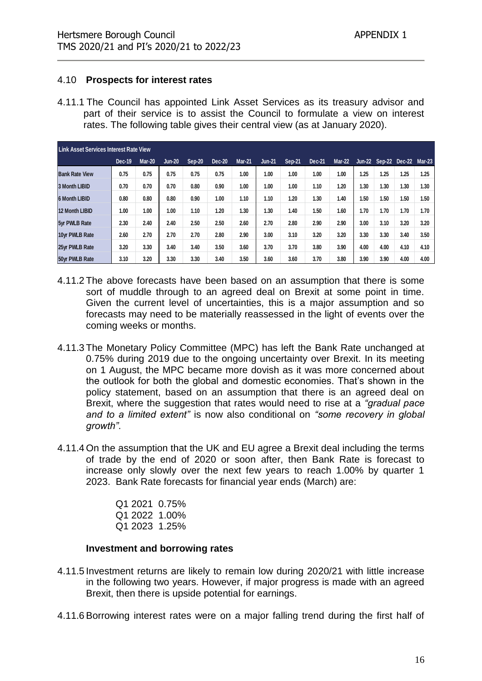#### 4.10 **Prospects for interest rates**

4.11.1 The Council has appointed Link Asset Services as its treasury advisor and part of their service is to assist the Council to formulate a view on interest rates. The following table gives their central view (as at January 2020).

| Link Asset Services Interest Rate View |               |               |               |        |               |               |               |        |        |               |      |                             |      |      |
|----------------------------------------|---------------|---------------|---------------|--------|---------------|---------------|---------------|--------|--------|---------------|------|-----------------------------|------|------|
|                                        | <b>Dec-19</b> | <b>Mar-20</b> | <b>Jun-20</b> | Sep-20 | <b>Dec-20</b> | <b>Mar-21</b> | <b>Jun-21</b> | Sep-21 | Dec-21 | <b>Mar-22</b> |      | Jun-22 Sep-22 Dec-22 Mar-23 |      |      |
| <b>Bank Rate View</b>                  | 0.75          | 0.75          | 0.75          | 0.75   | 0.75          | 1.00          | 1.00          | 1.00   | 1.00   | 1.00          | 1.25 | 1.25                        | 1.25 | 1.25 |
| 3 Month LIBID                          | 0.70          | 0.70          | 0.70          | 0.80   | 0.90          | 1.00          | 1.00          | 1.00   | 1.10   | 1.20          | 1.30 | 1.30                        | 1.30 | 1.30 |
| <b>6 Month LIBID</b>                   | 0.80          | 0.80          | 0.80          | 0.90   | 1.00          | 1.10          | 1.10          | 1.20   | 1.30   | 1.40          | 1.50 | 1.50                        | 1.50 | 1.50 |
| <b>12 Month LIBID</b>                  | 1.00          | 1.00          | 1.00          | 1.10   | 1.20          | 1.30          | 1.30          | 1.40   | 1.50   | 1.60          | 1.70 | 1.70                        | 1.70 | 1.70 |
| 5yr PWLB Rate                          | 2.30          | 2.40          | 2.40          | 2.50   | 2.50          | 2.60          | 2.70          | 2.80   | 2.90   | 2.90          | 3.00 | 3.10                        | 3.20 | 3.20 |
| 10yr PWLB Rate                         | 2.60          | 2.70          | 2.70          | 2.70   | 2.80          | 2.90          | 3.00          | 3.10   | 3.20   | 3.20          | 3.30 | 3.30                        | 3.40 | 3.50 |
| 25yr PWLB Rate                         | 3.20          | 3.30          | 3.40          | 3.40   | 3.50          | 3.60          | 3.70          | 3.70   | 3.80   | 3.90          | 4.00 | 4.00                        | 4.10 | 4.10 |
| 50yr PWLB Rate                         | 3.10          | 3.20          | 3.30          | 3.30   | 3.40          | 3.50          | 3.60          | 3.60   | 3.70   | 3.80          | 3.90 | 3.90                        | 4.00 | 4.00 |

- 4.11.2 The above forecasts have been based on an assumption that there is some sort of muddle through to an agreed deal on Brexit at some point in time. Given the current level of uncertainties, this is a major assumption and so forecasts may need to be materially reassessed in the light of events over the coming weeks or months.
- 4.11.3 The Monetary Policy Committee (MPC) has left the Bank Rate unchanged at 0.75% during 2019 due to the ongoing uncertainty over Brexit. In its meeting on 1 August, the MPC became more dovish as it was more concerned about the outlook for both the global and domestic economies. That's shown in the policy statement, based on an assumption that there is an agreed deal on Brexit, where the suggestion that rates would need to rise at a *"gradual pace and to a limited extent"* is now also conditional on *"some recovery in global growth"*.
- 4.11.4 On the assumption that the UK and EU agree a Brexit deal including the terms of trade by the end of 2020 or soon after, then Bank Rate is forecast to increase only slowly over the next few years to reach 1.00% by quarter 1 2023. Bank Rate forecasts for financial year ends (March) are:

|  | Q120210.75%   |
|--|---------------|
|  | Q1 2022 1.00% |
|  | Q1 2023 1.25% |

#### **Investment and borrowing rates**

- 4.11.5 Investment returns are likely to remain low during 2020/21 with little increase in the following two years. However, if major progress is made with an agreed Brexit, then there is upside potential for earnings.
- 4.11.6 Borrowing interest rates were on a major falling trend during the first half of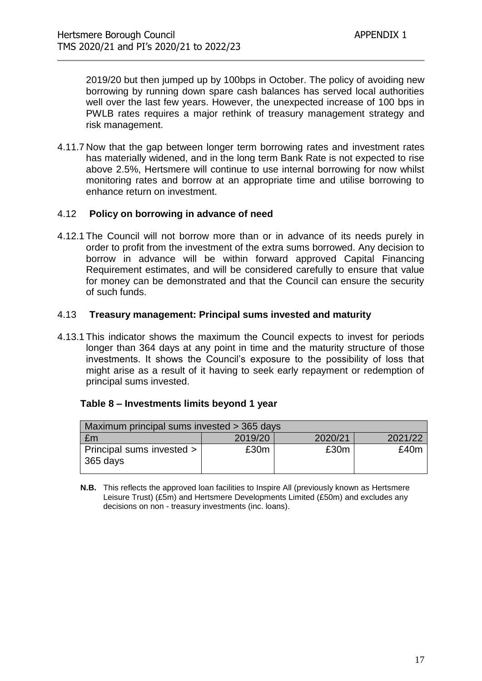2019/20 but then jumped up by 100bps in October. The policy of avoiding new borrowing by running down spare cash balances has served local authorities well over the last few years. However, the unexpected increase of 100 bps in PWLB rates requires a major rethink of treasury management strategy and risk management.

4.11.7 Now that the gap between longer term borrowing rates and investment rates has materially widened, and in the long term Bank Rate is not expected to rise above 2.5%, Hertsmere will continue to use internal borrowing for now whilst monitoring rates and borrow at an appropriate time and utilise borrowing to enhance return on investment.

#### 4.12 **Policy on borrowing in advance of need**

4.12.1 The Council will not borrow more than or in advance of its needs purely in order to profit from the investment of the extra sums borrowed. Any decision to borrow in advance will be within forward approved Capital Financing Requirement estimates, and will be considered carefully to ensure that value for money can be demonstrated and that the Council can ensure the security of such funds.

#### 4.13 **Treasury management: Principal sums invested and maturity**

4.13.1 This indicator shows the maximum the Council expects to invest for periods longer than 364 days at any point in time and the maturity structure of those investments. It shows the Council's exposure to the possibility of loss that might arise as a result of it having to seek early repayment or redemption of principal sums invested.

#### **Table 8 – Investments limits beyond 1 year**

| Maximum principal sums invested > 365 days |         |         |         |  |  |
|--------------------------------------------|---------|---------|---------|--|--|
| £m                                         | 2019/20 | 2020/21 | 2021/22 |  |  |
| Principal sums invested ><br>$365$ days    | £30m    | £30m    | £40m    |  |  |

**N.B.** This reflects the approved loan facilities to Inspire All (previously known as Hertsmere Leisure Trust) (£5m) and Hertsmere Developments Limited (£50m) and excludes any decisions on non - treasury investments (inc. loans).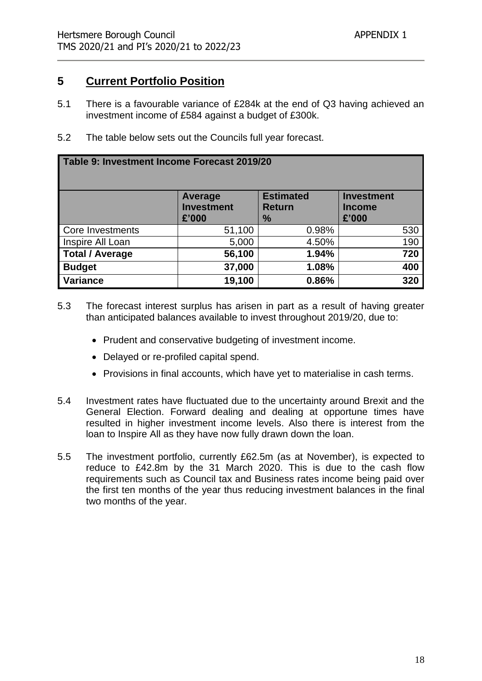## **5 Current Portfolio Position**

- 5.1 There is a favourable variance of £284k at the end of Q3 having achieved an investment income of £584 against a budget of £300k.
- 5.2 The table below sets out the Councils full year forecast.

#### **Table 9: Investment Income Forecast 2019/20**

|                        | <b>Average</b><br><b>Investment</b><br>£'000 | <b>Estimated</b><br><b>Return</b><br>$\frac{9}{6}$ | <b>Investment</b><br><b>Income</b><br>£'000 |
|------------------------|----------------------------------------------|----------------------------------------------------|---------------------------------------------|
| Core Investments       | 51,100                                       | 0.98%                                              | 530                                         |
| Inspire All Loan       | 5,000                                        | 4.50%                                              | 190                                         |
| <b>Total / Average</b> | 56,100                                       | 1.94%                                              | 720                                         |
| <b>Budget</b>          | 37,000                                       | 1.08%                                              | 400                                         |
| <b>Variance</b>        | 19,100                                       | 0.86%                                              | 320                                         |

- 5.3 The forecast interest surplus has arisen in part as a result of having greater than anticipated balances available to invest throughout 2019/20, due to:
	- Prudent and conservative budgeting of investment income.
	- Delayed or re-profiled capital spend.
	- Provisions in final accounts, which have yet to materialise in cash terms.
- 5.4 Investment rates have fluctuated due to the uncertainty around Brexit and the General Election. Forward dealing and dealing at opportune times have resulted in higher investment income levels. Also there is interest from the loan to Inspire All as they have now fully drawn down the loan.
- 5.5 The investment portfolio, currently £62.5m (as at November), is expected to reduce to £42.8m by the 31 March 2020. This is due to the cash flow requirements such as Council tax and Business rates income being paid over the first ten months of the year thus reducing investment balances in the final two months of the year.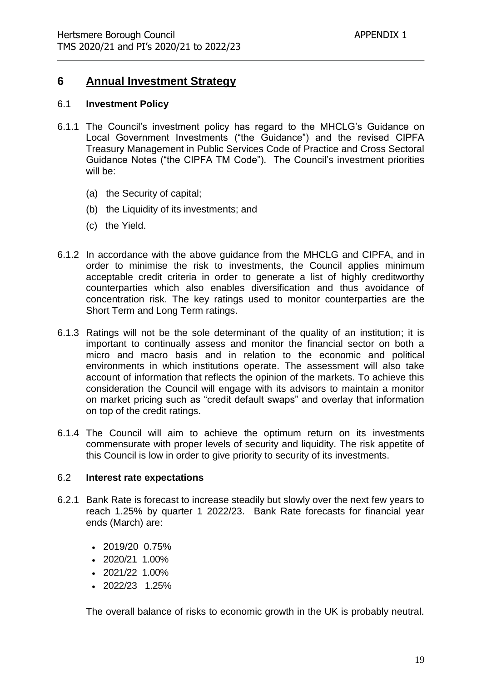## **6 Annual Investment Strategy**

#### 6.1 **Investment Policy**

- 6.1.1 The Council's investment policy has regard to the MHCLG's Guidance on Local Government Investments ("the Guidance") and the revised CIPFA Treasury Management in Public Services Code of Practice and Cross Sectoral Guidance Notes ("the CIPFA TM Code"). The Council's investment priorities will be:
	- (a) the Security of capital;
	- (b) the Liquidity of its investments; and
	- (c) the Yield.
- 6.1.2 In accordance with the above guidance from the MHCLG and CIPFA, and in order to minimise the risk to investments, the Council applies minimum acceptable credit criteria in order to generate a list of highly creditworthy counterparties which also enables diversification and thus avoidance of concentration risk. The key ratings used to monitor counterparties are the Short Term and Long Term ratings.
- 6.1.3 Ratings will not be the sole determinant of the quality of an institution; it is important to continually assess and monitor the financial sector on both a micro and macro basis and in relation to the economic and political environments in which institutions operate. The assessment will also take account of information that reflects the opinion of the markets. To achieve this consideration the Council will engage with its advisors to maintain a monitor on market pricing such as "credit default swaps" and overlay that information on top of the credit ratings.
- 6.1.4 The Council will aim to achieve the optimum return on its investments commensurate with proper levels of security and liquidity. The risk appetite of this Council is low in order to give priority to security of its investments.

#### 6.2 **Interest rate expectations**

- 6.2.1 Bank Rate is forecast to increase steadily but slowly over the next few years to reach 1.25% by quarter 1 2022/23. Bank Rate forecasts for financial year ends (March) are:
	- 2019/20 0.75%
	- 2020/21 1.00%
	- $\cdot$  2021/22 1.00%
	- $\cdot$  2022/23 1.25%

The overall balance of risks to economic growth in the UK is probably neutral.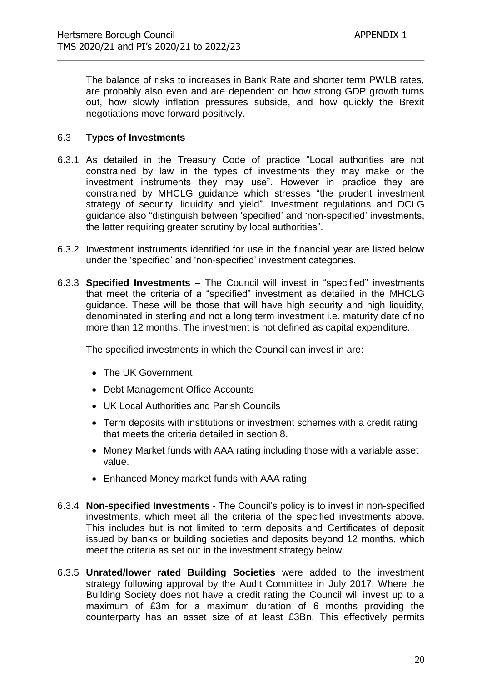The balance of risks to increases in Bank Rate and shorter term PWLB rates, are probably also even and are dependent on how strong GDP growth turns out, how slowly inflation pressures subside, and how quickly the Brexit negotiations move forward positively.

#### 6.3 **Types of Investments**

- 6.3.1 As detailed in the Treasury Code of practice "Local authorities are not constrained by law in the types of investments they may make or the investment instruments they may use". However in practice they are constrained by MHCLG guidance which stresses "the prudent investment strategy of security, liquidity and yield". Investment regulations and DCLG guidance also "distinguish between 'specified' and 'non-specified' investments, the latter requiring greater scrutiny by local authorities".
- 6.3.2 Investment instruments identified for use in the financial year are listed below under the 'specified' and 'non-specified' investment categories.
- 6.3.3 **Specified Investments –** The Council will invest in "specified" investments that meet the criteria of a "specified" investment as detailed in the MHCLG guidance. These will be those that will have high security and high liquidity, denominated in sterling and not a long term investment i.e. maturity date of no more than 12 months. The investment is not defined as capital expenditure.

The specified investments in which the Council can invest in are:

- The UK Government
- Debt Management Office Accounts
- UK Local Authorities and Parish Councils
- Term deposits with institutions or investment schemes with a credit rating that meets the criteria detailed in section 8.
- Money Market funds with AAA rating including those with a variable asset value.
- Enhanced Money market funds with AAA rating
- 6.3.4 **Non-specified Investments -** The Council's policy is to invest in non-specified investments, which meet all the criteria of the specified investments above. This includes but is not limited to term deposits and Certificates of deposit issued by banks or building societies and deposits beyond 12 months, which meet the criteria as set out in the investment strategy below.
- 6.3.5 **Unrated/lower rated Building Societies** were added to the investment strategy following approval by the Audit Committee in July 2017. Where the Building Society does not have a credit rating the Council will invest up to a maximum of £3m for a maximum duration of 6 months providing the counterparty has an asset size of at least £3Bn. This effectively permits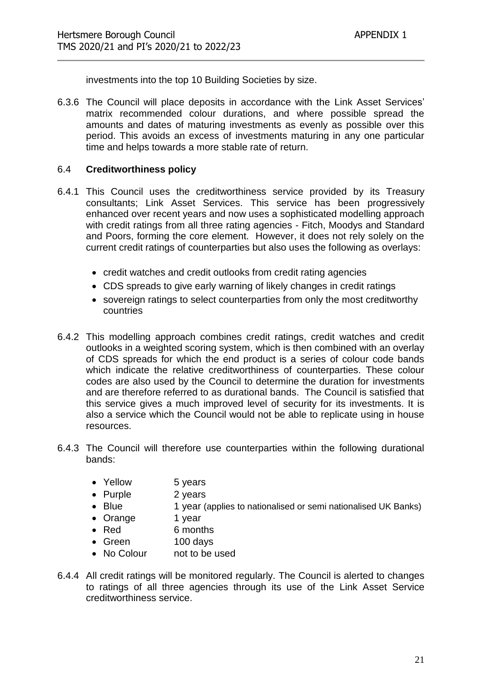investments into the top 10 Building Societies by size.

6.3.6 The Council will place deposits in accordance with the Link Asset Services' matrix recommended colour durations, and where possible spread the amounts and dates of maturing investments as evenly as possible over this period. This avoids an excess of investments maturing in any one particular time and helps towards a more stable rate of return.

#### 6.4 **Creditworthiness policy**

- 6.4.1 This Council uses the creditworthiness service provided by its Treasury consultants; Link Asset Services. This service has been progressively enhanced over recent years and now uses a sophisticated modelling approach with credit ratings from all three rating agencies - Fitch, Moodys and Standard and Poors, forming the core element. However, it does not rely solely on the current credit ratings of counterparties but also uses the following as overlays:
	- credit watches and credit outlooks from credit rating agencies
	- CDS spreads to give early warning of likely changes in credit ratings
	- sovereign ratings to select counterparties from only the most creditworthy countries
- 6.4.2 This modelling approach combines credit ratings, credit watches and credit outlooks in a weighted scoring system, which is then combined with an overlay of CDS spreads for which the end product is a series of colour code bands which indicate the relative creditworthiness of counterparties. These colour codes are also used by the Council to determine the duration for investments and are therefore referred to as durational bands. The Council is satisfied that this service gives a much improved level of security for its investments. It is also a service which the Council would not be able to replicate using in house resources.
- 6.4.3 The Council will therefore use counterparties within the following durational bands:
	- Yellow 5 years
	- Purple 2 years
	- Blue 1 year (applies to nationalised or semi nationalised UK Banks)
	- Orange 1 year
	- Red 6 months
	- Green 100 days
	- No Colour not to be used
- 6.4.4 All credit ratings will be monitored regularly. The Council is alerted to changes to ratings of all three agencies through its use of the Link Asset Service creditworthiness service.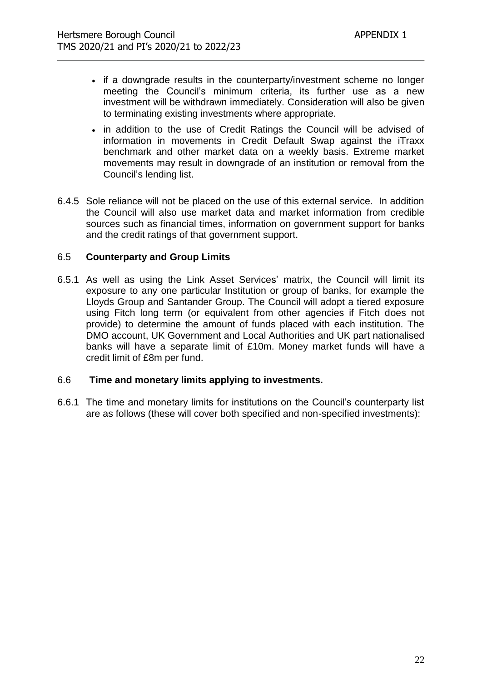- if a downgrade results in the counterparty/investment scheme no longer meeting the Council's minimum criteria, its further use as a new investment will be withdrawn immediately. Consideration will also be given to terminating existing investments where appropriate.
- in addition to the use of Credit Ratings the Council will be advised of information in movements in Credit Default Swap against the iTraxx benchmark and other market data on a weekly basis. Extreme market movements may result in downgrade of an institution or removal from the Council's lending list.
- 6.4.5 Sole reliance will not be placed on the use of this external service. In addition the Council will also use market data and market information from credible sources such as financial times, information on government support for banks and the credit ratings of that government support.

#### 6.5 **Counterparty and Group Limits**

6.5.1 As well as using the Link Asset Services' matrix, the Council will limit its exposure to any one particular Institution or group of banks, for example the Lloyds Group and Santander Group. The Council will adopt a tiered exposure using Fitch long term (or equivalent from other agencies if Fitch does not provide) to determine the amount of funds placed with each institution. The DMO account, UK Government and Local Authorities and UK part nationalised banks will have a separate limit of £10m. Money market funds will have a credit limit of £8m per fund.

#### 6.6 **Time and monetary limits applying to investments.**

6.6.1 The time and monetary limits for institutions on the Council's counterparty list are as follows (these will cover both specified and non-specified investments):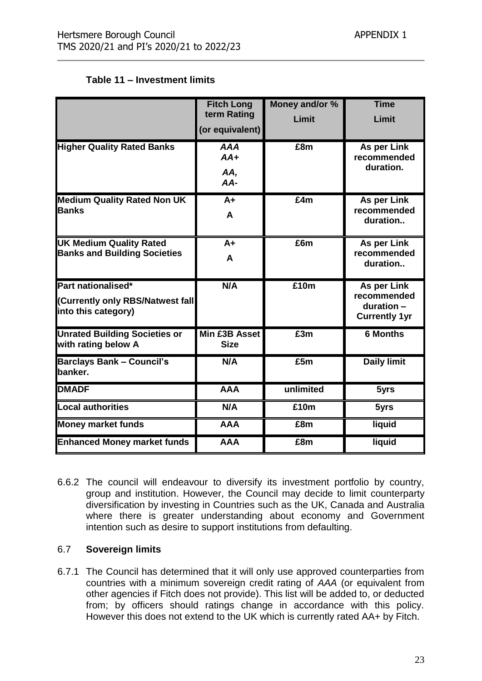#### **Table 11 – Investment limits**

|                                                                               | <b>Fitch Long</b><br>term Rating<br>(or equivalent) | Money and/or %<br>Limit | <b>Time</b><br>Limit                                             |
|-------------------------------------------------------------------------------|-----------------------------------------------------|-------------------------|------------------------------------------------------------------|
| <b>Higher Quality Rated Banks</b>                                             | <b>AAA</b><br>$AA+$<br>AA,<br>$AA-$                 | £8m                     | As per Link<br>recommended<br>duration.                          |
| <b>Medium Quality Rated Non UK</b><br><b>Banks</b>                            | $A+$<br>A                                           | E4m                     | As per Link<br>recommended<br>duration                           |
| <b>UK Medium Quality Rated</b><br><b>Banks and Building Societies</b>         | A+<br>A                                             | £6m                     | As per Link<br>recommended<br>duration                           |
| Part nationalised*<br>(Currently only RBS/Natwest fall<br>into this category) | N/A                                                 | £10m                    | As per Link<br>recommended<br>duration -<br><b>Currently 1yr</b> |
| <b>Unrated Building Societies or</b><br>with rating below A                   | Min £3B Asset<br><b>Size</b>                        | E3m                     | <b>6 Months</b>                                                  |
| <b>Barclays Bank - Council's</b><br>banker.                                   | N/A                                                 | E5m                     | <b>Daily limit</b>                                               |
| <b>DMADF</b>                                                                  | <b>AAA</b>                                          | unlimited               | 5yrs                                                             |
| <b>Local authorities</b>                                                      | N/A                                                 | £10m                    | 5yrs                                                             |
| <b>Money market funds</b>                                                     | <b>AAA</b>                                          | £8m                     | liquid                                                           |
| <b>Enhanced Money market funds</b>                                            | <b>AAA</b>                                          | £8m                     | liquid                                                           |

6.6.2 The council will endeavour to diversify its investment portfolio by country, group and institution. However, the Council may decide to limit counterparty diversification by investing in Countries such as the UK, Canada and Australia where there is greater understanding about economy and Government intention such as desire to support institutions from defaulting.

#### 6.7 **Sovereign limits**

6.7.1 The Council has determined that it will only use approved counterparties from countries with a minimum sovereign credit rating of *AAA* (or equivalent from other agencies if Fitch does not provide). This list will be added to, or deducted from; by officers should ratings change in accordance with this policy. However this does not extend to the UK which is currently rated AA+ by Fitch.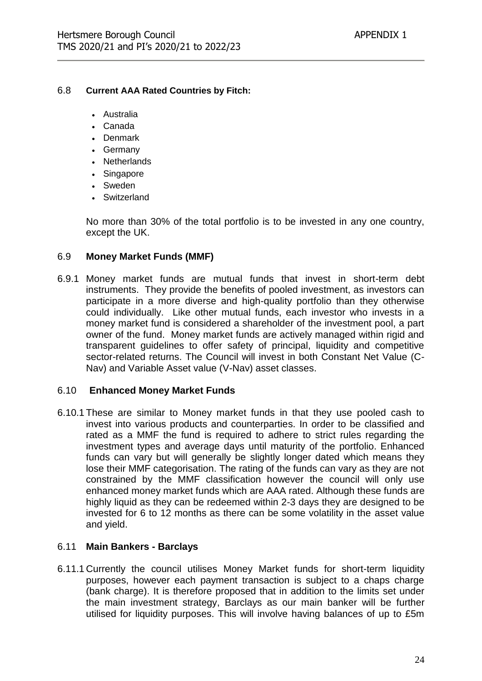#### 6.8 **Current AAA Rated Countries by Fitch:**

- Australia
- Canada
- Denmark
- Germany
- Netherlands
- Singapore
- Sweden
- Switzerland

No more than 30% of the total portfolio is to be invested in any one country, except the UK.

#### 6.9 **Money Market Funds (MMF)**

6.9.1 Money market funds are mutual funds that invest in short-term debt instruments. They provide the benefits of pooled investment, as investors can participate in a more diverse and high-quality portfolio than they otherwise could individually. Like other mutual funds, each investor who invests in a money market fund is considered a shareholder of the investment pool, a part owner of the fund. Money market funds are actively managed within rigid and transparent guidelines to offer safety of principal, liquidity and competitive sector-related returns. The Council will invest in both Constant Net Value (C-Nav) and Variable Asset value (V-Nav) asset classes.

#### 6.10 **Enhanced Money Market Funds**

6.10.1 These are similar to Money market funds in that they use pooled cash to invest into various products and counterparties. In order to be classified and rated as a MMF the fund is required to adhere to strict rules regarding the investment types and average days until maturity of the portfolio. Enhanced funds can vary but will generally be slightly longer dated which means they lose their MMF categorisation. The rating of the funds can vary as they are not constrained by the MMF classification however the council will only use enhanced money market funds which are AAA rated. Although these funds are highly liquid as they can be redeemed within 2-3 days they are designed to be invested for 6 to 12 months as there can be some volatility in the asset value and yield.

#### 6.11 **Main Bankers - Barclays**

6.11.1 Currently the council utilises Money Market funds for short-term liquidity purposes, however each payment transaction is subject to a chaps charge (bank charge). It is therefore proposed that in addition to the limits set under the main investment strategy, Barclays as our main banker will be further utilised for liquidity purposes. This will involve having balances of up to £5m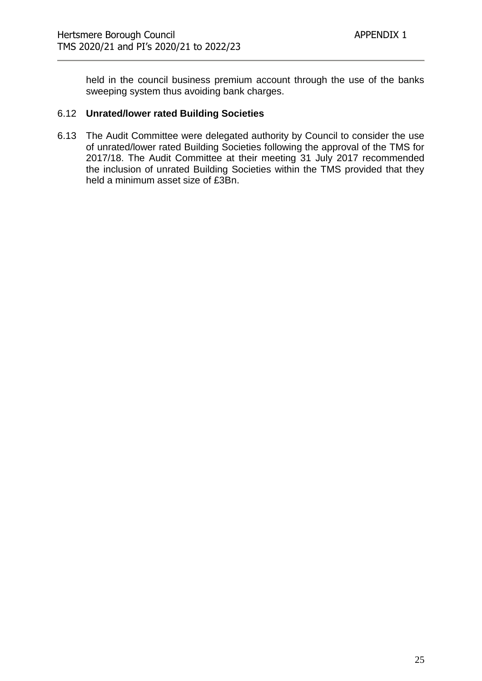held in the council business premium account through the use of the banks sweeping system thus avoiding bank charges.

#### 6.12 **Unrated/lower rated Building Societies**

6.13 The Audit Committee were delegated authority by Council to consider the use of unrated/lower rated Building Societies following the approval of the TMS for 2017/18. The Audit Committee at their meeting 31 July 2017 recommended the inclusion of unrated Building Societies within the TMS provided that they held a minimum asset size of £3Bn.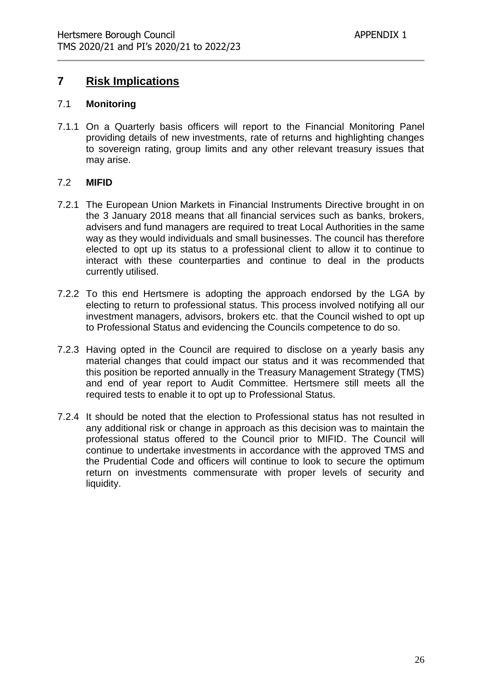## **7 Risk Implications**

#### 7.1 **Monitoring**

7.1.1 On a Quarterly basis officers will report to the Financial Monitoring Panel providing details of new investments, rate of returns and highlighting changes to sovereign rating, group limits and any other relevant treasury issues that may arise.

#### 7.2 **MIFID**

- 7.2.1 The European Union Markets in Financial Instruments Directive brought in on the 3 January 2018 means that all financial services such as banks, brokers, advisers and fund managers are required to treat Local Authorities in the same way as they would individuals and small businesses. The council has therefore elected to opt up its status to a professional client to allow it to continue to interact with these counterparties and continue to deal in the products currently utilised.
- 7.2.2 To this end Hertsmere is adopting the approach endorsed by the LGA by electing to return to professional status. This process involved notifying all our investment managers, advisors, brokers etc. that the Council wished to opt up to Professional Status and evidencing the Councils competence to do so.
- 7.2.3 Having opted in the Council are required to disclose on a yearly basis any material changes that could impact our status and it was recommended that this position be reported annually in the Treasury Management Strategy (TMS) and end of year report to Audit Committee. Hertsmere still meets all the required tests to enable it to opt up to Professional Status.
- 7.2.4 It should be noted that the election to Professional status has not resulted in any additional risk or change in approach as this decision was to maintain the professional status offered to the Council prior to MIFID. The Council will continue to undertake investments in accordance with the approved TMS and the Prudential Code and officers will continue to look to secure the optimum return on investments commensurate with proper levels of security and liquidity.